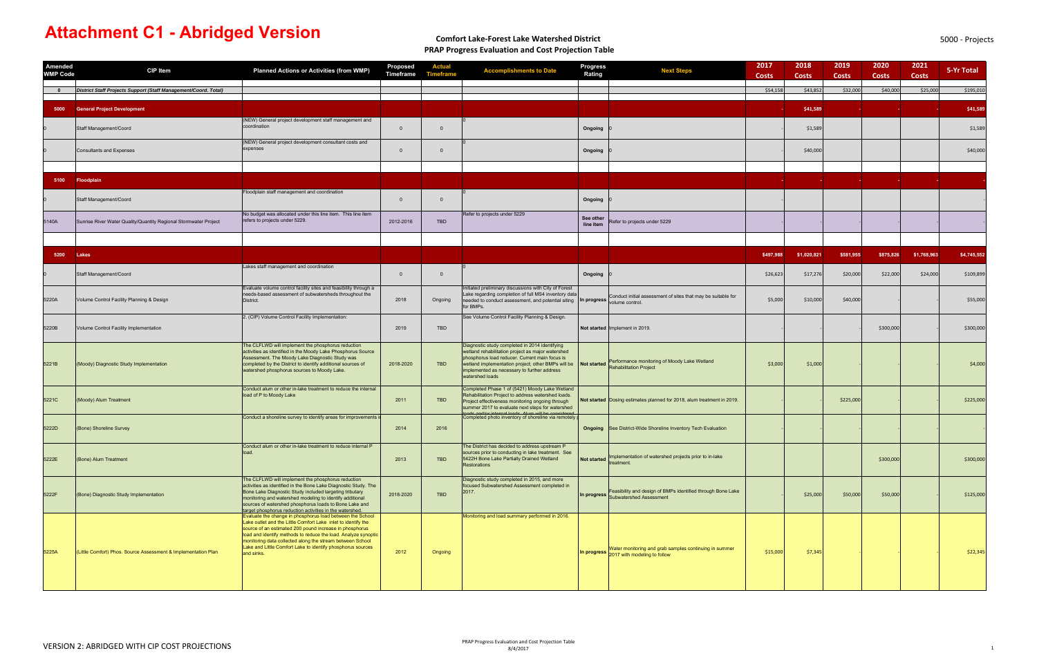# **Comfort Lake‐Forest Lake Watershed District PRAP Progress Evaluation and Cost Projection Table**

| Amended<br><b>WMP Code</b> | <b>CIP Item</b>                                                  | <b>Planned Actions or Activities (from WMP)</b>                                                                                                                                                                                                                                                                                                                                                   | Proposed<br>Timeframe | <b>Actual</b>  | <b>Accomplishments to Date</b>                                                                                                                                                                                                                                                | <b>Progress</b><br>Rating | <b>Next Steps</b>                                                                                  | 2017<br><b>Costs</b> | 2018<br><b>Costs</b> | 2019<br><b>Costs</b> | 2020<br><b>Costs</b> | 2021<br><b>Costs</b> | 5-Yr Total  |
|----------------------------|------------------------------------------------------------------|---------------------------------------------------------------------------------------------------------------------------------------------------------------------------------------------------------------------------------------------------------------------------------------------------------------------------------------------------------------------------------------------------|-----------------------|----------------|-------------------------------------------------------------------------------------------------------------------------------------------------------------------------------------------------------------------------------------------------------------------------------|---------------------------|----------------------------------------------------------------------------------------------------|----------------------|----------------------|----------------------|----------------------|----------------------|-------------|
| $\bullet$                  | District Staff Projects Support (Staff Management/Coord. Total)  |                                                                                                                                                                                                                                                                                                                                                                                                   |                       |                |                                                                                                                                                                                                                                                                               |                           |                                                                                                    | \$54,158             | \$43,85              | \$32,000             | \$40,000             | \$25,000             | \$195,010   |
| 5000                       | <b>General Project Development</b>                               |                                                                                                                                                                                                                                                                                                                                                                                                   |                       |                |                                                                                                                                                                                                                                                                               |                           |                                                                                                    |                      | \$41,589             |                      |                      |                      | \$41,589    |
|                            | Staff Management/Coord                                           | (NEW) General project development staff management and<br>coordination                                                                                                                                                                                                                                                                                                                            | $\overline{0}$        | $\Omega$       |                                                                                                                                                                                                                                                                               | Ongoing                   |                                                                                                    |                      | \$1,589              |                      |                      |                      | \$1,589     |
|                            | <b>Consultants and Expenses</b>                                  | (NEW) General project development consultant costs and<br>expenses                                                                                                                                                                                                                                                                                                                                | $\overline{0}$        | $\Omega$       |                                                                                                                                                                                                                                                                               | Ongoing                   |                                                                                                    |                      | \$40,000             |                      |                      |                      | \$40,000    |
|                            |                                                                  |                                                                                                                                                                                                                                                                                                                                                                                                   |                       |                |                                                                                                                                                                                                                                                                               |                           |                                                                                                    |                      |                      |                      |                      |                      |             |
| 5100                       | <b>Floodplain</b>                                                |                                                                                                                                                                                                                                                                                                                                                                                                   |                       |                |                                                                                                                                                                                                                                                                               |                           |                                                                                                    |                      |                      |                      |                      |                      |             |
|                            | Staff Management/Coord                                           | loodplain staff management and coordination                                                                                                                                                                                                                                                                                                                                                       | $\overline{0}$        | $\overline{0}$ |                                                                                                                                                                                                                                                                               | Ongoing                   |                                                                                                    |                      |                      |                      |                      |                      |             |
| 5140A                      | Sunrise River Water Quality/Quantity Regional Stormwater Project | No budget was allocated under this line item. This line item<br>refers to projects under 5229.                                                                                                                                                                                                                                                                                                    | 2012-2016             | <b>TBD</b>     | Refer to projects under 5229                                                                                                                                                                                                                                                  | See other<br>line item    | Refer to projects under 5229                                                                       |                      |                      |                      |                      |                      |             |
|                            |                                                                  |                                                                                                                                                                                                                                                                                                                                                                                                   |                       |                |                                                                                                                                                                                                                                                                               |                           |                                                                                                    |                      |                      |                      |                      |                      |             |
| 5200                       | Lakes                                                            |                                                                                                                                                                                                                                                                                                                                                                                                   |                       |                |                                                                                                                                                                                                                                                                               |                           |                                                                                                    | \$497,988            | \$1,020,821          | \$581,955            | \$875,826            | \$1,768,963          | \$4,745,552 |
|                            | Staff Management/Coord                                           | Lakes staff management and coordination                                                                                                                                                                                                                                                                                                                                                           | $\overline{0}$        | $\overline{0}$ |                                                                                                                                                                                                                                                                               | Ongoing                   |                                                                                                    | \$26,623             | \$17,27              | \$20,000             | \$22,000             | \$24,000             | \$109,899   |
| 5220A                      | Volume Control Facility Planning & Design                        | Evaluate volume control facility sites and feasibility through a<br>needs-based assessment of subwatersheds throughout the<br>District.                                                                                                                                                                                                                                                           | 2018                  | Ongoing        | Initiated preliminary discussions with City of Forest<br>Lake regarding completion of full MS4 inventory data<br>needed to conduct assessment, and potential siting<br>for BMPs.                                                                                              |                           | In progress Conduct initial assessment of sites that may be suitable for<br>volume control.        | \$5,000              | \$10,000             | \$40,000             |                      |                      | \$55,000    |
| 5220B                      | Volume Control Facility Implementation                           | 2. (CIP) Volume Control Facility Implementation:                                                                                                                                                                                                                                                                                                                                                  | 2019                  | <b>TBD</b>     | See Volume Control Facility Planning & Design.                                                                                                                                                                                                                                |                           | Not started Implement in 2019.                                                                     |                      |                      |                      | \$300,000            |                      | \$300,000   |
| 5221B                      | (Moody) Diagnostic Study Implementation                          | The CLFLWD will implement the phosphorus reduction<br>activities as identified in the Moody Lake Phosphorus Source<br>Assessment. The Moody Lake Diagnostic Study was<br>completed by the District to identify additional sources of<br>watershed phosphorus sources to Moody Lake.                                                                                                               | 2018-2020             | TBD            | Diagnostic study completed in 2014 identifying<br>wetland rehabilitation project as major watershed<br>phosphorus load reducer. Current main focus is<br>wetland implementation project; other BMPs will be<br>implemented as necessary to further address<br>watershed loads |                           | Not started <b>Performance monitoring of Moody Lake Wetland</b>                                    | \$3,000              | \$1,000              |                      |                      |                      | \$4,000     |
| 5221C                      | (Moody) Alum Treatment                                           | Conduct alum or other in-lake treatment to reduce the internal<br>load of P to Moody Lake                                                                                                                                                                                                                                                                                                         | 2011                  | <b>TBD</b>     | Completed Phase 1 of (5421) Moody Lake Wetland<br>Rehabilitation Project to address watershed loads.<br>Project effectiveness monitoring ongoing through<br>summer 2017 to evaluate next steps for watershed<br>ade and/or internal loade. Alum will be considered            |                           | Not started Dosing estimates planned for 2018, alum treatment in 2019.                             |                      |                      | \$225,000            |                      |                      | \$225,000   |
| 5222D                      | (Bone) Shoreline Survey                                          | Conduct a shoreline survey to identify areas for improvements i                                                                                                                                                                                                                                                                                                                                   | 2014                  | 2016           | Completed photo inventory of shoreline via remotely                                                                                                                                                                                                                           |                           | <b>Ongoing</b> See District-Wide Shoreline Inventory Tech Evaluation                               |                      |                      |                      |                      |                      |             |
| 5222E                      | (Bone) Alum Treatment                                            | Conduct alum or other in-lake treatment to reduce internal P<br>bad.                                                                                                                                                                                                                                                                                                                              | 2013                  | <b>TBD</b>     | The District has decided to address upstream P<br>sources prior to conducting in lake treatment. See<br>5422H Bone Lake Partially Drained Wetland<br>Restorations                                                                                                             | Not started               | Implementation of watershed projects prior to in-lake<br>eatment.                                  |                      |                      |                      | \$300,000            |                      | \$300,000   |
| 5222F                      | (Bone) Diagnostic Study Implementation                           | The CLFLWD will implement the phosphorus reduction<br>activities as identified in the Bone Lake Diagnostic Study. The<br>Bone Lake Diagnostic Study included targeting tributary<br>monitoring and watershed modeling to identify additional<br>sources of watershed phosphorus loads to Bone Lake and<br>target phosphorus reduction activities in the watershed.                                | 2018-2020             | <b>TBD</b>     | Diagnostic study completed in 2015, and more<br>focused Subwatershed Assessment completed in<br>2017.                                                                                                                                                                         |                           | In progress Feasibility and design of BMPs identified through Bone Lake<br>Subwatershed Assessment |                      | \$25,000             | \$50,000             | \$50,000             |                      | \$125,000   |
| 5225A                      | (Little Comfort) Phos. Source Assessment & Implementation Plan   | Evaluate the change in phosphorus load between the School<br>Lake outlet and the Little Comfort Lake inlet to identify the<br>source of an estimated 200 pound increase in phosphorus<br>load and identify methods to reduce the load. Analyze synoptic<br>monitoring data collected along the stream between School<br>Lake and Little Comfort Lake to identify phosphorus sources<br>and sinks. | 2012                  | Ongoing        | Monitoring and load summary performed in 2016.                                                                                                                                                                                                                                |                           | In progress Water monitoring and grab samples continuing in summer<br>2017 with modeling to follow | \$15,000             | \$7,345              |                      |                      |                      | \$22,345    |

# **Attachment C1 - Abridged Version**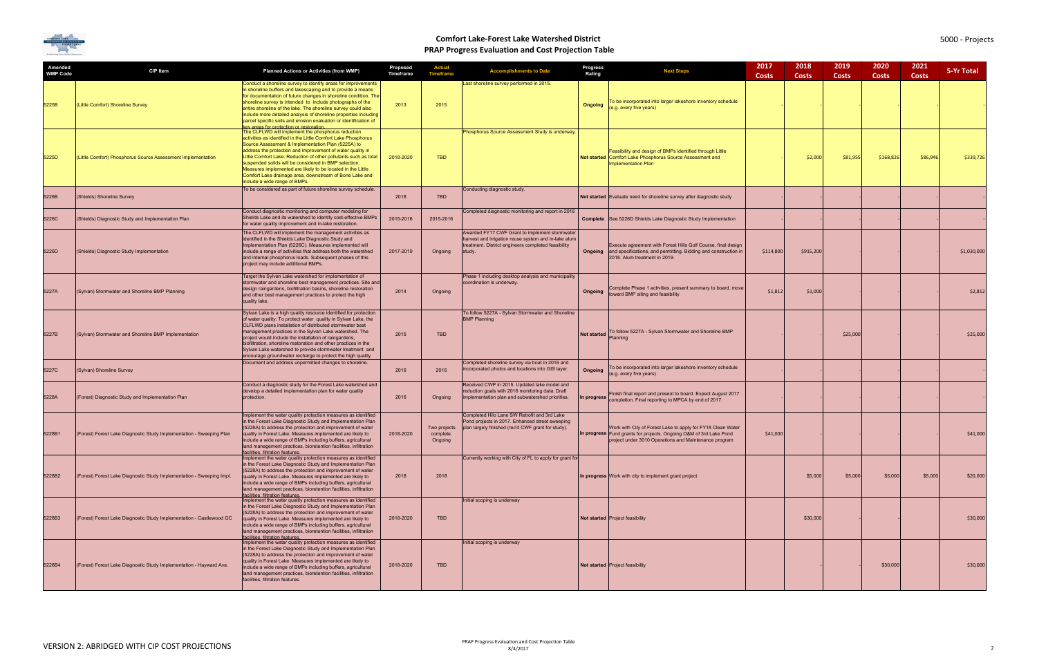

| Amended<br><b>WMP Code</b> | CIP Item                                                              | <b>Planned Actions or Activities (from WMP)</b>                                                                                                                                                                                                                                                                                                                                                                                                                                                                                  | Proposed<br>Timeframe | <b>Actual</b><br><b>Timeframe</b>    | <b>Accomplishments to Date</b>                                                                                                                                          | Progress<br>Rating | <b>Next Steps</b>                                                                                                                                                                          | 2017<br><b>Costs</b> | 2018<br><b>Costs</b> | 2019<br><b>Costs</b> | 2020<br><b>Costs</b> | 2021<br><b>Costs</b> | 5-Yr Total  |
|----------------------------|-----------------------------------------------------------------------|----------------------------------------------------------------------------------------------------------------------------------------------------------------------------------------------------------------------------------------------------------------------------------------------------------------------------------------------------------------------------------------------------------------------------------------------------------------------------------------------------------------------------------|-----------------------|--------------------------------------|-------------------------------------------------------------------------------------------------------------------------------------------------------------------------|--------------------|--------------------------------------------------------------------------------------------------------------------------------------------------------------------------------------------|----------------------|----------------------|----------------------|----------------------|----------------------|-------------|
| 5225B                      | (Little Comfort) Shoreline Survey                                     | Conduct a shoreline survey to identify areas for improvements<br>in shoreline buffers and lakescaping and to provide a means<br>for documentation of future changes in shoreline condition. The<br>shoreline survey is intended to include photographs of the<br>entire shoreline of the lake. The shoreline survey could also<br>include more detailed analysis of shoreline properties including<br>parcel specific soils and erosion evaluation or identification of<br>ev areas for protection or restoration                | 2013                  | 2015                                 | Last shoreline survey performed in 2015.                                                                                                                                | Ongoing            | o be incorporated into larger lakeshore inventory schedule<br>(e.g. every five years)                                                                                                      |                      |                      |                      |                      |                      |             |
| 5225D                      | (Little Comfort) Phosphorus Source Assessment Implementation          | The CLFLWD will implement the phosphorus reduction<br>activities as identified in the Little Comfort Lake Phosphorus<br>Source Assessment & Implementation Plan (5225A) to<br>address the protection and improvement of water quality in<br>Little Comfort Lake. Reduction of other pollutants such as total<br>suspended solids will be considered in BMP selection.<br>Measures implemented are likely to be located in the Little<br>Comfort Lake drainage area, downstream of Bone Lake and<br>include a wide range of BMPs. | 2018-2020             | <b>TBD</b>                           | Phosphorus Source Assessment Study is underway.                                                                                                                         |                    | Feasibility and design of BMPs identified through Little<br>Not started Comfort Lake Phosphorus Source Assessment and<br><b>Implementation Plan</b>                                        |                      | \$2,000              | \$81,955             | \$168,826            | \$86,946             | \$339,726   |
| 5226B                      | (Shields) Shoreline Survey                                            | To be considered as part of future shoreline survey schedule.                                                                                                                                                                                                                                                                                                                                                                                                                                                                    | 2018                  | <b>TBD</b>                           | Conducting diagnostic study.                                                                                                                                            |                    | Not started Evaluate need for shoreline survey after diagnostic study                                                                                                                      |                      |                      |                      |                      |                      |             |
| 5226C                      | (Shields) Diagnostic Study and Implementation Plan                    | Conduct diagnostic monitoring and computer modeling for<br>Shields Lake and its watershed to identify cost-effective BMPs<br>for water quality improvement and in-lake restoration.                                                                                                                                                                                                                                                                                                                                              | 2015-2016             | 2015-2016                            | Completed diagnostic monitoring and report in 2016                                                                                                                      |                    | <b>Complete</b> See 5226D Shields Lake Diagnostic Study Implementation                                                                                                                     |                      |                      |                      |                      |                      |             |
| 5226D                      | (Shields) Diagnostic Study Implementation                             | The CLFLWD will implement the management activities as<br>identified in the Shields Lake Diagnostic Study and<br>Implementation Plan (5226C). Measures implemented will<br>include a range of activities that address both the watershed<br>and internal phosphorus loads. Subsequent phases of this<br>project may include additional BMPs.                                                                                                                                                                                     | 2017-2019             | Ongoing                              | Awarded FY17 CWF Grant to implement stormwater<br>harvest and irrigation reuse system and in-lake alum<br>treatment. District engineers completed feasibility<br>study. |                    | Execute agreement with Forest Hills Golf Course, final design<br><b>Ongoing</b> and specifications, and permitting. Bidding and construction in<br>2018. Alum treatment in 2019.           | \$114,800            | \$915,200            |                      |                      |                      | \$1,030,000 |
| 5227A                      | (Sylvan) Stormwater and Shoreline BMP Planning                        | Target the Sylvan Lake watershed for implementation of<br>stormwater and shoreline best management practices. Site and<br>design raingardens, biofiltration basins, shoreline restoration<br>and other best management practices to protect the high<br>quality lake.                                                                                                                                                                                                                                                            | 2014                  | Ongoing                              | Phase 1 including desktop analysis and municipality<br>coordination is underway.                                                                                        | Ongoing            | Complete Phase 1 activities, present summary to board, move<br>toward BMP siting and feasibility                                                                                           | \$1,812              | \$1,000              |                      |                      |                      | \$2,812     |
| 5227B                      | (Sylvan) Stormwater and Shoreline BMP Implementation                  | Sylvan Lake is a high quality resource identified for protection<br>of water quality. To protect water quality in Sylvan Lake, the<br>CLFLWD plans installation of distributed stormwater best<br>management practices in the Sylvan Lake watershed. The<br>project would include the installation of raingardens,<br>biofiltration, shoreline restoration and other practices in the<br>Sylvan Lake watershed to provide stormwater treatment and<br>encourage groundwater recharge to protect the high quality                 | 2015                  | <b>TBD</b>                           | To follow 5227A - Sylvan Stormwater and Shoreline<br><b>BMP Planning</b>                                                                                                | Not started        | To follow 5227A - Sylvan Stormwater and Shoreline BMP<br>Planning                                                                                                                          |                      |                      | \$25,000             |                      |                      | \$25,000    |
| 5227C                      | (Sylvan) Shoreline Survey                                             | Document and address unpermitted changes to shoreline.                                                                                                                                                                                                                                                                                                                                                                                                                                                                           | 2016                  | 2016                                 | Completed shoreline survey via boat in 2016 and<br>incorporated photos and locations into GIS layer.                                                                    | Ongoing            | To be incorporated into larger lakeshore inventory schedule<br>(e.g. every five years)                                                                                                     |                      |                      |                      |                      |                      |             |
| 5228A                      | (Forest) Diagnostic Study and Implementation Plan                     | Conduct a diagnostic study for the Forest Lake watershed and<br>develop a detailed implementation plan for water quality<br>protection.                                                                                                                                                                                                                                                                                                                                                                                          | 2016                  | Ongoing                              | Received CWP in 2015. Updated lake model and<br>reduction goals with 2016 monitoring data. Draft<br>implementation plan and subwatershed priorities.                    |                    | Finish final report and present to board. Expect August 2017<br>In progress completion. Final reporting to MPCA by end of 2017.                                                            |                      |                      |                      |                      |                      |             |
| 5228B1                     | (Forest) Forest Lake Diagnostic Study Implementation - Sweeping Plan  | Implement the water quality protection measures as identified<br>in the Forest Lake Diagnostic Study and Implementation Plan<br>(5228A) to address the protection and improvement of water<br>quality in Forest Lake. Measures implemented are likely to<br>clude a wide range of BMPs including buffers, agricultural<br>land management practices, bioretention facilities, infiltration<br>facilities, filtration features.                                                                                                   | 2018-2020             | Two projects<br>complete.<br>Ongoing | Completed Hilo Lane SW Retrofit and 3rd Lake<br>Pond projects in 2017. Enhanced street sweeping<br>plan largely finished (rec'd CWF grant for study).                   |                    | Work with City of Forest Lake to apply for FY18 Clean Water<br>In progress Fund grants for projects. Ongoing O&M of 3rd Lake Pond<br>project under 3010 Operations and Maintenance program | \$41,000             |                      |                      |                      |                      | \$41,000    |
| 5228B2                     | (Forest) Forest Lake Diagnostic Study Implementation - Sweeping Impl. | Implement the water quality protection measures as identified<br>in the Forest Lake Diagnostic Study and Implementation Plan<br>(5228A) to address the protection and improvement of water<br>quality in Forest Lake. Measures implemented are likely to<br>include a wide range of BMPs including buffers, agricultural<br>land management practices, bioretention facilities, infiltration<br>facilities. filtration features.                                                                                                 | 2018                  | 2018                                 | Currently working with City of FL to apply for grant for                                                                                                                |                    | In progress Work with city to implement grant project                                                                                                                                      |                      | \$5,000              | \$5,000              | \$5,000              | \$5,000              | \$20,000    |
| 5228B3                     | (Forest) Forest Lake Diagnostic Study Implementation - Castlewood GC  | Implement the water quality protection measures as identified<br>in the Forest Lake Diagnostic Study and Implementation Plan<br>(5228A) to address the protection and improvement of water<br>quality in Forest Lake. Measures implemented are likely to<br>include a wide range of BMPs including buffers, agricultural<br>land management practices, bioretention facilities, infiltration<br>facilities, filtration features,                                                                                                 | 2018-2020             | <b>TBD</b>                           | Initial scoping is underway                                                                                                                                             |                    | Not started Project feasibility                                                                                                                                                            |                      | \$30,000             |                      |                      |                      | \$30,000    |
| 5228B4                     | (Forest) Forest Lake Diagnostic Study Implementation - Hayward Ave.   | Implement the water quality protection measures as identified<br>in the Forest Lake Diagnostic Study and Implementation Plan<br>(5228A) to address the protection and improvement of water<br>quality in Forest Lake. Measures implemented are likely to<br>include a wide range of BMPs including buffers, agricultural<br>land management practices, bioretention facilities, infiltration<br>facilities, filtration features.                                                                                                 | 2018-2020             | <b>TBD</b>                           | Initial scoping is underway                                                                                                                                             |                    | Not started Project feasibility                                                                                                                                                            |                      |                      |                      | \$30,000             |                      | \$30,000    |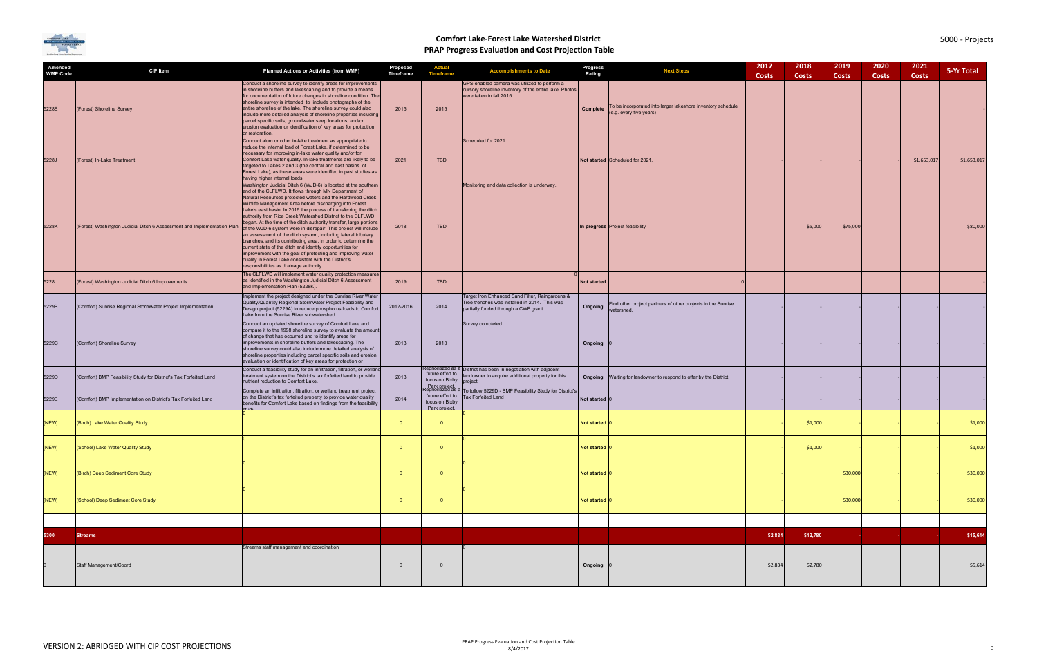

| Amended<br><b>WMP Code</b> | <b>CIP Item</b>                                                         | <b>Planned Actions or Activities (from WMP)</b>                                                                                                                                                                                                                                                                                                                                                                                                                                                                                                                                                                                                                                                                                                                                                                                                                                                | Proposed<br>Timeframe | <b>Actual</b><br><b>Timeframe</b>                                                        | <b>Accomplishments to Date</b>                                                                                                            | Progress<br>Rating | <b>Next Steps</b>                                                                      | 2017<br><b>Costs</b> | 2018<br><b>Costs</b> | 2019<br>Costs | 2020<br><b>Costs</b> | 2021<br><b>Costs</b> | 5-Yr Total  |
|----------------------------|-------------------------------------------------------------------------|------------------------------------------------------------------------------------------------------------------------------------------------------------------------------------------------------------------------------------------------------------------------------------------------------------------------------------------------------------------------------------------------------------------------------------------------------------------------------------------------------------------------------------------------------------------------------------------------------------------------------------------------------------------------------------------------------------------------------------------------------------------------------------------------------------------------------------------------------------------------------------------------|-----------------------|------------------------------------------------------------------------------------------|-------------------------------------------------------------------------------------------------------------------------------------------|--------------------|----------------------------------------------------------------------------------------|----------------------|----------------------|---------------|----------------------|----------------------|-------------|
| 5228E                      | (Forest) Shoreline Survey                                               | Conduct a shoreline survey to identify areas for improvements<br>in shoreline buffers and lakescaping and to provide a means<br>for documentation of future changes in shoreline condition. The<br>shoreline survey is intended to include photographs of the<br>entire shoreline of the lake. The shoreline survey could also<br>include more detailed analysis of shoreline properties including<br>parcel specific soils, groundwater seep locations, and/or<br>erosion evaluation or identification of key areas for protection<br>or restoration.                                                                                                                                                                                                                                                                                                                                         | 2015                  | 2015                                                                                     | GPS-enabled camera was utilized to perform a<br>cursory shoreline inventory of the entire lake. Photos<br>were taken in fall 2015.        | Complete           | To be incorporated into larger lakeshore inventory schedule<br>(e.g. every five years) |                      |                      |               |                      |                      |             |
| 5228J                      | (Forest) In-Lake Treatment                                              | Conduct alum or other in-lake treatment as appropriate to<br>reduce the internal load of Forest Lake, if determined to be<br>necessary for improving in-lake water quality and/or for<br>Comfort Lake water quality. In-lake treatments are likely to be<br>targeted to Lakes 2 and 3 (the central and east basins of<br>Forest Lake), as these areas were identified in past studies as<br>having higher internal loads.                                                                                                                                                                                                                                                                                                                                                                                                                                                                      | 2021                  | <b>TBD</b>                                                                               | Scheduled for 2021.                                                                                                                       |                    | Not started Scheduled for 2021                                                         |                      |                      |               |                      | \$1,653,017          | \$1,653,017 |
| 5228K                      | (Forest) Washington Judicial Ditch 6 Assessment and Implementation Plan | Washington Judicial Ditch 6 (WJD-6) is located at the southern<br>end of the CLFLWD. It flows through MN Department of<br>Natural Resources protected waters and the Hardwood Creek<br>Wildlife Management Area before discharging into Forest<br>Lake's east basin. In 2016 the process of transferring the ditch<br>authority from Rice Creek Watershed District to the CLFLWD<br>began. At the time of the ditch authority transfer, large portions<br>of the WJD-6 system were in disrepair. This project will include<br>an assessment of the ditch system, including lateral tributary<br>branches, and its contributing area, in order to determine the<br>current state of the ditch and identify opportunities for<br>improvement with the goal of protecting and improving water<br>quality in Forest Lake consistent with the District's<br>responsibilities as drainage authority. | 2018                  | <b>TBD</b>                                                                               | Monitoring and data collection is underway.                                                                                               |                    | In progress Project feasibility                                                        |                      | \$5,000              | \$75,000      |                      |                      | \$80,000    |
| 5228L                      | (Forest) Washington Judicial Ditch 6 Improvements                       | The CLFLWD will implement water quality protection measures<br>as identified in the Washington Judicial Ditch 6 Assessment<br>and Implementation Plan (5228K).                                                                                                                                                                                                                                                                                                                                                                                                                                                                                                                                                                                                                                                                                                                                 | 2019                  | <b>TBD</b>                                                                               |                                                                                                                                           | Not started        |                                                                                        |                      |                      |               |                      |                      |             |
| 5229B                      | (Comfort) Sunrise Regional Stormwater Project Implementation            | Implement the project designed under the Sunrise River Water<br>Quality/Quantity Regional Stormwater Project Feasibility and<br>Design project (5229A) to reduce phosphorus loads to Comfort<br>Lake from the Sunrise River subwatershed.                                                                                                                                                                                                                                                                                                                                                                                                                                                                                                                                                                                                                                                      | 2012-2016             | 2014                                                                                     | Target Iron Enhanced Sand Filter, Raingardens &<br>Tree trenches was installed in 2014. This was<br>partially funded through a CWF grant. | Ongoing            | Find other project partners of other projects in the Sunrise<br>watershed.             |                      |                      |               |                      |                      |             |
| 5229C                      | (Comfort) Shoreline Survey                                              | Conduct an updated shoreline survey of Comfort Lake and<br>compare it to the 1998 shoreline survey to evaluate the amount<br>of change that has occurred and to identify areas for<br>improvements in shoreline buffers and lakescaping. The<br>shoreline survey could also include more detailed analysis of<br>shoreline properties including parcel specific soils and erosion<br>evaluation or identification of key areas for protection or                                                                                                                                                                                                                                                                                                                                                                                                                                               | 2013                  | 2013                                                                                     | Survey completed.                                                                                                                         | Ongoing            |                                                                                        |                      |                      |               |                      |                      |             |
| 5229D                      | (Comfort) BMP Feasibility Study for District's Tax Forfeited Land       | Conduct a feasibility study for an infiltration, filtration, or wetlan<br>treatment system on the District's tax forfeited land to provide<br>nutrient reduction to Comfort Lake.                                                                                                                                                                                                                                                                                                                                                                                                                                                                                                                                                                                                                                                                                                              | 2013                  | future effort to<br>focus on Bixby                                                       | Reprioritized as a District has been in negotiation with adjacent<br>landowner to acquire additional property for this<br>project.        |                    | Ongoing Waiting for landowner to respond to offer by the District.                     |                      |                      |               |                      |                      |             |
| 5229E                      | (Comfort) BMP Implementation on District's Tax Forfeited Land           | Complete an infiltration, filtration, or wetland treatment project<br>on the District's tax forfeited property to provide water quality<br>benefits for Comfort Lake based on findings from the feasibility                                                                                                                                                                                                                                                                                                                                                                                                                                                                                                                                                                                                                                                                                    | 2014                  | Park project<br>Reprioritized as a<br>future effort to<br>focus on Bixby<br>Park project | To follow 5229D - BMP Feasibility Study for District's<br><b>Tax Forfeited Land</b>                                                       | Not started        |                                                                                        |                      |                      |               |                      |                      |             |
| [NEW]                      | (Birch) Lake Water Quality Study                                        |                                                                                                                                                                                                                                                                                                                                                                                                                                                                                                                                                                                                                                                                                                                                                                                                                                                                                                | $\Omega$              | $\Omega$                                                                                 |                                                                                                                                           | Not started   0    |                                                                                        |                      | \$1,000              |               |                      |                      | \$1,000     |
| [NEW]                      | (School) Lake Water Quality Study                                       |                                                                                                                                                                                                                                                                                                                                                                                                                                                                                                                                                                                                                                                                                                                                                                                                                                                                                                | $\overline{0}$        | $\overline{0}$                                                                           |                                                                                                                                           | Not started        |                                                                                        |                      | \$1,000              |               |                      |                      | \$1,000     |
| [NEW]                      | (Birch) Deep Sediment Core Study                                        |                                                                                                                                                                                                                                                                                                                                                                                                                                                                                                                                                                                                                                                                                                                                                                                                                                                                                                | $\mathbf{0}$          | $\overline{0}$                                                                           |                                                                                                                                           | Not started        |                                                                                        |                      |                      | \$30,000      |                      |                      | \$30,000    |
| [NEW]                      | (School) Deep Sediment Core Study                                       |                                                                                                                                                                                                                                                                                                                                                                                                                                                                                                                                                                                                                                                                                                                                                                                                                                                                                                | $\mathbf{0}$          | $\overline{0}$                                                                           |                                                                                                                                           | Not started        |                                                                                        |                      |                      | \$30,000      |                      |                      | \$30,000    |
|                            |                                                                         |                                                                                                                                                                                                                                                                                                                                                                                                                                                                                                                                                                                                                                                                                                                                                                                                                                                                                                |                       |                                                                                          |                                                                                                                                           |                    |                                                                                        |                      |                      |               |                      |                      |             |
| 5300                       | <b>Streams</b>                                                          |                                                                                                                                                                                                                                                                                                                                                                                                                                                                                                                                                                                                                                                                                                                                                                                                                                                                                                |                       |                                                                                          |                                                                                                                                           |                    |                                                                                        | \$2,834              | \$12,780             |               |                      |                      | \$15,614    |
|                            | Staff Management/Coord                                                  | Streams staff management and coordination                                                                                                                                                                                                                                                                                                                                                                                                                                                                                                                                                                                                                                                                                                                                                                                                                                                      | $\mathbf 0$           | $\overline{0}$                                                                           |                                                                                                                                           | Ongoing            |                                                                                        | \$2,834              | \$2,780              |               |                      |                      | \$5,614     |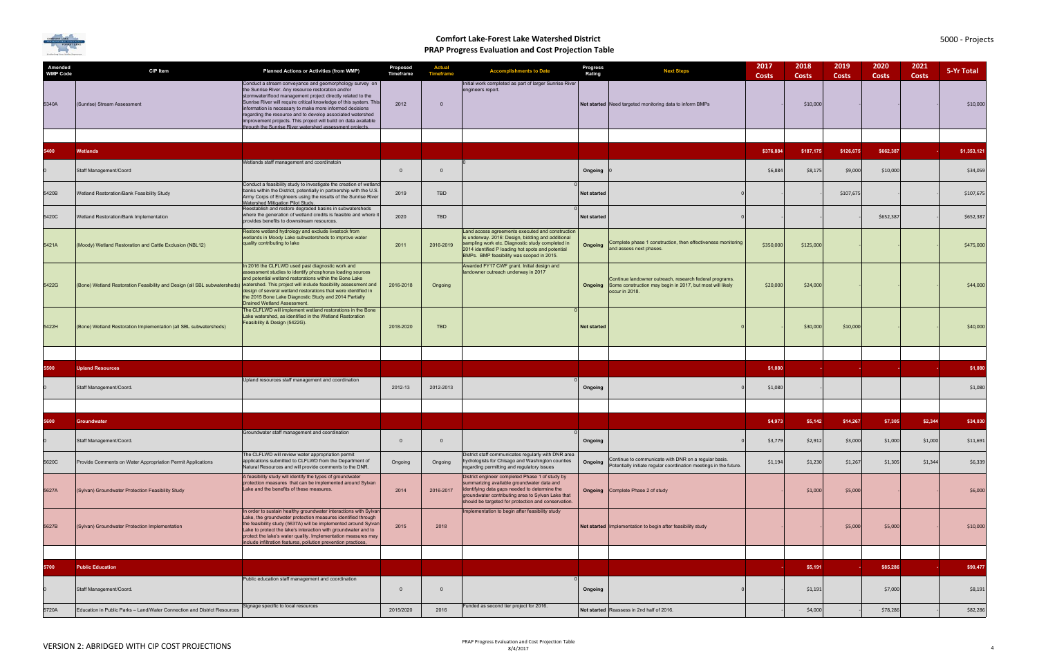

| Amended<br><b>WMP Code</b> | <b>CIP Item</b>                                                                                                                           | <b>Planned Actions or Activities (from WMP)</b>                                                                                                                                                                                                                                                                                                                                                                                                                                                          | Proposed<br>Timeframe | <b>Actual</b><br><b>Timeframe</b> | <b>Accomplishments to Date</b>                                                                                                                                                                                                                              | <b>Progress</b><br>Rating | <b>Next Steps</b>                                                                                                                                     | 2017<br><b>Costs</b> | 2018<br><b>Costs</b> | 2019<br><b>Costs</b> | 2020<br><b>Costs</b> | 2021<br><b>Costs</b> | 5-Yr Total  |
|----------------------------|-------------------------------------------------------------------------------------------------------------------------------------------|----------------------------------------------------------------------------------------------------------------------------------------------------------------------------------------------------------------------------------------------------------------------------------------------------------------------------------------------------------------------------------------------------------------------------------------------------------------------------------------------------------|-----------------------|-----------------------------------|-------------------------------------------------------------------------------------------------------------------------------------------------------------------------------------------------------------------------------------------------------------|---------------------------|-------------------------------------------------------------------------------------------------------------------------------------------------------|----------------------|----------------------|----------------------|----------------------|----------------------|-------------|
| 5340A                      | (Sunrise) Stream Assessment                                                                                                               | Conduct a stream conveyance and geomorphology survey on<br>the Sunrise River. Any resource restoration and/or<br>stormwater/flood management project directly related to the<br>Sunrise River will require critical knowledge of this system. This<br>information is necessary to make more informed decisions<br>regarding the resource and to develop associated watershed<br>improvement projects. This project will build on data available<br>rough the Sunrise River watershed assessment projects | 2012                  | $\Omega$                          | Initial work completed as part of larger Sunrise River<br>engineers report.                                                                                                                                                                                 |                           | Not started Need targeted monitoring data to inform BMPs                                                                                              |                      | \$10,000             |                      |                      |                      | \$10,000    |
|                            |                                                                                                                                           |                                                                                                                                                                                                                                                                                                                                                                                                                                                                                                          |                       |                                   |                                                                                                                                                                                                                                                             |                           |                                                                                                                                                       |                      |                      |                      |                      |                      |             |
| 5400                       | <b>Wetlands</b>                                                                                                                           |                                                                                                                                                                                                                                                                                                                                                                                                                                                                                                          |                       |                                   |                                                                                                                                                                                                                                                             |                           |                                                                                                                                                       | \$376,884            | \$187,175            | \$126,675            | \$662,387            |                      | \$1,353,121 |
|                            | Staff Management/Coord                                                                                                                    | Wetlands staff management and coordinatoin                                                                                                                                                                                                                                                                                                                                                                                                                                                               | $\mathbf{0}$          | $\overline{0}$                    |                                                                                                                                                                                                                                                             | Ongoing                   |                                                                                                                                                       | \$6,884              | \$8,175              | \$9,000              | \$10,000             |                      | \$34,059    |
| 5420B                      | Wetland Restoration/Bank Feasibility Study                                                                                                | Conduct a feasibility study to investigate the creation of wetland<br>banks within the District, potentially in partnership with the U.S.<br>Army Corps of Engineers using the results of the Sunrise River<br><b>Watershed Mitigation Pilot Study.</b>                                                                                                                                                                                                                                                  | 2019                  | <b>TBD</b>                        |                                                                                                                                                                                                                                                             | <b>Not started</b>        |                                                                                                                                                       |                      |                      | \$107,675            |                      |                      | \$107,675   |
| 5420C                      | Wetland Restoration/Bank Implementation                                                                                                   | Reestablish and restore degraded basins in subwatersheds<br>where the generation of wetland credits is feasible and where if<br>provides benefits to downstream resources.                                                                                                                                                                                                                                                                                                                               | 2020                  | TBD                               |                                                                                                                                                                                                                                                             | Not started               |                                                                                                                                                       |                      |                      |                      | \$652,387            |                      | \$652,387   |
| 5421A                      | (Moody) Wetland Restoration and Cattle Exclusion (NBL12)                                                                                  | Restore wetland hydrology and exclude livestock from<br>wetlands in Moody Lake subwatersheds to improve water<br>quality contributing to lake                                                                                                                                                                                                                                                                                                                                                            | 2011                  | 2016-2019                         | Land access agreements executed and construction<br>is underway. 2016: Design, bidding and additional<br>sampling work etc. Diagnostic study completed in<br>2014 identified P loading hot spots and potential<br>BMPs. BMP feasibility was scoped in 2015. | Ongoing                   | Complete phase 1 construction, then effectiveness monitoring<br>and assess next phases.                                                               | \$350,000            | \$125,000            |                      |                      |                      | \$475,000   |
| 5422G                      | (Bone) Wetland Restoration Feasibility and Design (all SBL subwatersheds) watershed. This project will include feasibility assessment and | In 2016 the CLFLWD used past diagnostic work and<br>assessment studies to identify phosphorus loading sources<br>and potential wetland restorations within the Bone Lake<br>design of several wetland restorations that were identified in<br>the 2015 Bone Lake Diagnostic Study and 2014 Partially<br>Drained Wetland Assessment.                                                                                                                                                                      | 2016-2018             | Ongoing                           | Awarded FY17 CWF grant. Initial design and<br>landowner outreach underway in 2017                                                                                                                                                                           |                           | Continue landowner outreach, research federal programs.<br><b>Ongoing</b> Some construction may begin in 2017, but most will likely<br>occur in 2018. | \$20,000             | \$24,000             |                      |                      |                      | \$44,000    |
| 5422H                      | (Bone) Wetland Restoration Implementation (all SBL subwatersheds)                                                                         | The CLFLWD will implement wetland restorations in the Bone<br>Lake watershed, as identified in the Wetland Restoration<br>Feasibility & Design (5422G).                                                                                                                                                                                                                                                                                                                                                  | 2018-2020             | <b>TBD</b>                        |                                                                                                                                                                                                                                                             | <b>Not started</b>        |                                                                                                                                                       |                      | \$30,000             | \$10,000             |                      |                      | \$40,000    |
|                            |                                                                                                                                           |                                                                                                                                                                                                                                                                                                                                                                                                                                                                                                          |                       |                                   |                                                                                                                                                                                                                                                             |                           |                                                                                                                                                       |                      |                      |                      |                      |                      |             |
| 5500                       | <b>Upland Resources</b>                                                                                                                   |                                                                                                                                                                                                                                                                                                                                                                                                                                                                                                          |                       |                                   |                                                                                                                                                                                                                                                             |                           |                                                                                                                                                       | \$1,080              |                      |                      |                      |                      | \$1,080     |
|                            | Staff Management/Coord.                                                                                                                   | Upland resources staff management and coordination                                                                                                                                                                                                                                                                                                                                                                                                                                                       | 2012-13               | 2012-2013                         |                                                                                                                                                                                                                                                             | Ongoing                   |                                                                                                                                                       | \$1,080              |                      |                      |                      |                      | \$1,080     |
|                            |                                                                                                                                           |                                                                                                                                                                                                                                                                                                                                                                                                                                                                                                          |                       |                                   |                                                                                                                                                                                                                                                             |                           |                                                                                                                                                       |                      |                      |                      |                      |                      |             |
| 5600                       | Groundwater                                                                                                                               |                                                                                                                                                                                                                                                                                                                                                                                                                                                                                                          |                       |                                   |                                                                                                                                                                                                                                                             |                           |                                                                                                                                                       | \$4,973              | \$5,142              | \$14,267             | \$7,305              | \$2,344              | \$34,030    |
|                            | Staff Management/Coord.                                                                                                                   | Groundwater staff management and coordination                                                                                                                                                                                                                                                                                                                                                                                                                                                            | $\overline{0}$        | $\overline{\mathbf{0}}$           |                                                                                                                                                                                                                                                             | Ongoing                   |                                                                                                                                                       | \$3,779              | \$2,912              | \$3,000              | \$1,000              | \$1,000              | \$11,691    |
| 5620C                      | Provide Comments on Water Appropriation Permit Applications                                                                               | The CLFLWD will review water appropriation permit<br>applications submitted to CLFLWD from the Department of<br>Natural Resources and will provide comments to the DNR.                                                                                                                                                                                                                                                                                                                                  | Ongoing               | Ongoing                           | District staff communicates regularly with DNR area<br>hydrologists for Chisago and Washington counties<br>regarding permitting and regulatory issues                                                                                                       | Ongoing                   | Continue to communicate with DNR on a regular basis.<br>Potentially initiate regular coordination meetings in the future.                             | \$1,194              | \$1,230              | \$1,267              | \$1,305              | \$1,344              | \$6,339     |
| 5627A                      | (Sylvan) Groundwater Protection Feasibility Study                                                                                         | A feasibility study will identify the types of groundwater<br>protection measures that can be implemented around Sylvan<br>Lake and the benefits of these measures.                                                                                                                                                                                                                                                                                                                                      | 2014                  | 2016-2017                         | District engineer completed Phase 1 of study by<br>summarizing available groundwater data and<br>identifying data gaps needed to determine the<br>groundwater contributing area to Sylvan Lake that<br>should be targeted for protection and conservation.  |                           | <b>Ongoing</b> Complete Phase 2 of study                                                                                                              |                      | \$1,000              | \$5,000              |                      |                      | \$6,000     |
| 5627B                      | (Sylvan) Groundwater Protection Implementation                                                                                            | In order to sustain healthy groundwater interactions with Sylvan<br>Lake, the groundwater protection measures identified through<br>the feasibility study (5637A) will be implemented around Sylvan<br>Lake to protect the lake's interaction with groundwater and to<br>protect the lake's water quality. Implementation measures may<br>include infiltration features, pollution prevention practices,                                                                                                 | 2015                  | 2018                              | Implementation to begin after feasibility study                                                                                                                                                                                                             |                           | Not started Implementation to begin after feasibility study                                                                                           |                      |                      | \$5,000              | \$5,000              |                      | \$10,000    |
|                            |                                                                                                                                           |                                                                                                                                                                                                                                                                                                                                                                                                                                                                                                          |                       |                                   |                                                                                                                                                                                                                                                             |                           |                                                                                                                                                       |                      |                      |                      |                      |                      |             |
| 5700                       | <b>Public Education</b>                                                                                                                   |                                                                                                                                                                                                                                                                                                                                                                                                                                                                                                          |                       |                                   |                                                                                                                                                                                                                                                             |                           |                                                                                                                                                       |                      | \$5,191              |                      | \$85,286             |                      | \$90,477    |
|                            | Staff Management/Coord.                                                                                                                   | Public education staff management and coordination                                                                                                                                                                                                                                                                                                                                                                                                                                                       | $\mathbf{0}$          | $\overline{0}$                    |                                                                                                                                                                                                                                                             | Ongoing                   |                                                                                                                                                       |                      | \$1,191              |                      | \$7,000              |                      | \$8,191     |
| 5720A                      | Education in Public Parks - Land/Water Connection and District Resources                                                                  | Signage specific to local resources                                                                                                                                                                                                                                                                                                                                                                                                                                                                      | 2015/2020             | 2016                              | Funded as second tier project for 2016.                                                                                                                                                                                                                     |                           | Not started Reassess in 2nd half of 2016.                                                                                                             |                      | \$4,000              |                      | \$78,286             |                      | \$82,286    |